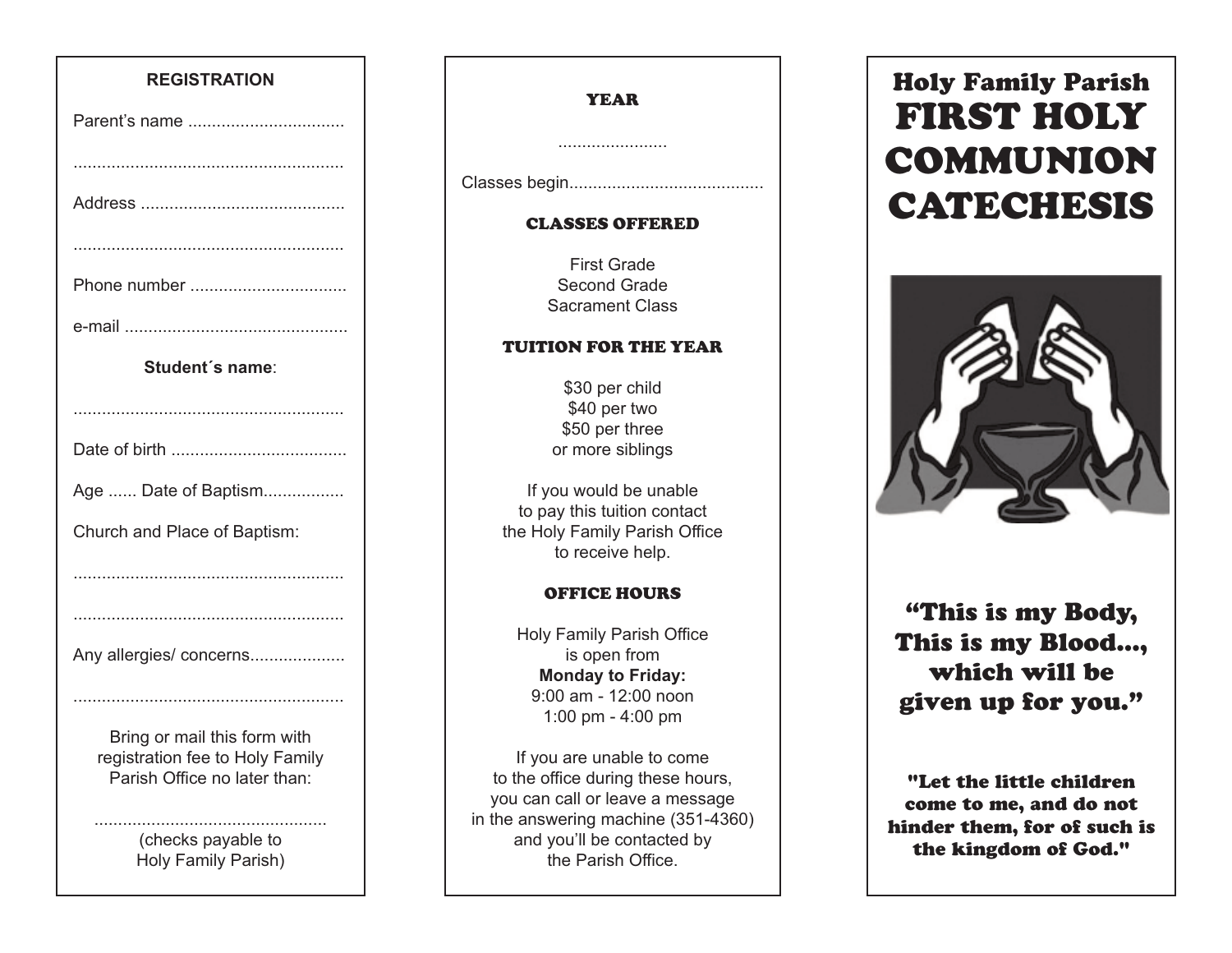### **REGISTRATION**

| Parent's name                                                    |
|------------------------------------------------------------------|
|                                                                  |
|                                                                  |
|                                                                  |
| Phone number                                                     |
|                                                                  |
| Student's name:                                                  |
|                                                                  |
|                                                                  |
| Age  Date of Baptism                                             |
| Church and Place of Baptism:                                     |
|                                                                  |
|                                                                  |
| Any allergies/ concerns                                          |
|                                                                  |
| Bring or mail this form with<br>registration fee to Holy Family. |

registration fee to Holy Family Parish Office no later than:

> (checks payable to Holy Family Parish)

.................................................

### YEAR

.......................

Classes begin.........................................

### CLASSES OFFERED

First Grade Second Grade Sacrament Class

#### TUITION FOR THE YEAR

\$30 per child \$40 per two \$50 per three or more siblings

If you would be unable to pay this tuition contact the Holy Family Parish Office to receive help.

### OFFICE HOURS

Holy Family Parish Office is open from **Monday to Friday:** 9:00 am - 12:00 noon 1:00 pm - 4:00 pm

If you are unable to come to the office during these hours, you can call or leave a message in the answering machine (351-4360) and you'll be contacted by the Parish Office.

# **Holy Family Parish FIRST HOLY COMMUNION CATECHESIS**



# **"This is my Body, This is my Blood..., which will be given up for you."**

**"Let the little children come to me, and do not hinder them, for of such is the kingdom of God."**